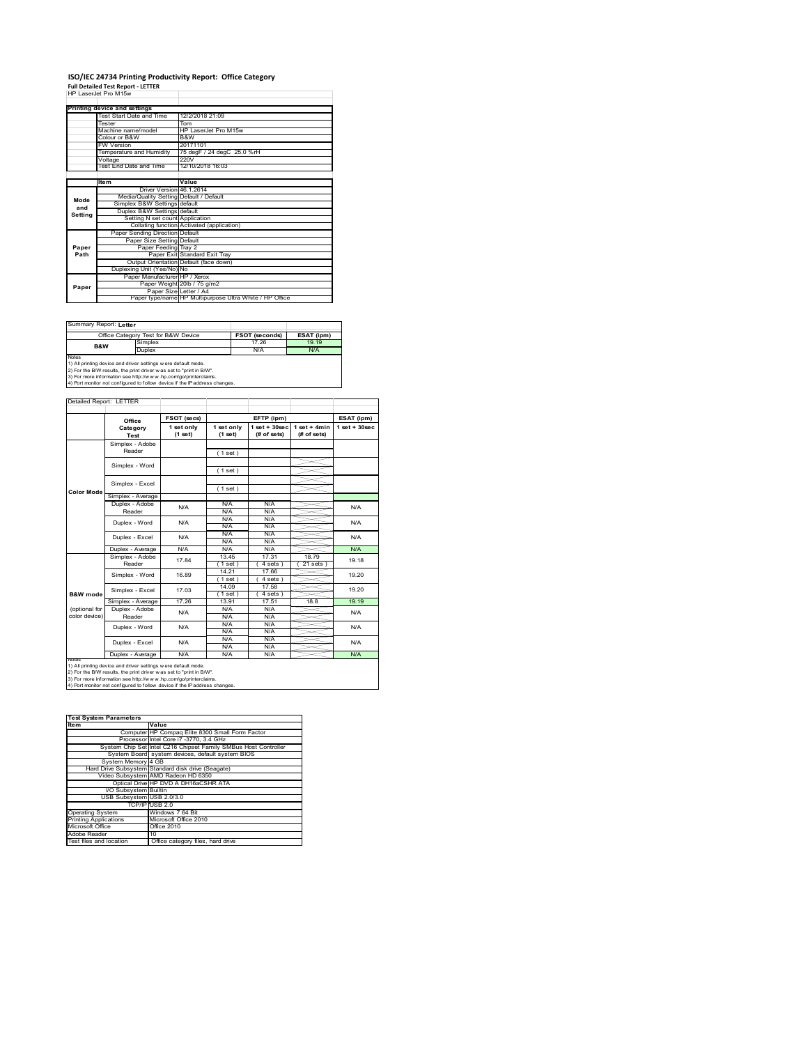# **ISO/IEC 24734 Printing Productivity Report: Office Category Full Detailed Test Report ‐ LETTER** HP LaserJet Pro M15w

|         | HP Laser.let Pro M15w                   |                                                         |
|---------|-----------------------------------------|---------------------------------------------------------|
|         | Printing device and settings            |                                                         |
|         | Test Start Date and Time                | 12/2/2018 21:09                                         |
|         | Tester                                  | Tom                                                     |
|         | Machine name/model                      | HP LaserJet Pro M15w                                    |
|         | Colour or B&W                           | B&W                                                     |
|         | <b>FW Version</b>                       | 20171101                                                |
|         | Temperature and Humidity                | 75 degF / 24 degC 25.0 %rH                              |
|         | Voltage                                 | 220V                                                    |
|         | Test End Date and Time                  | 12/10/2018 16:03                                        |
|         |                                         |                                                         |
|         | Item                                    | Value                                                   |
|         | Driver Version 46.1.2614                |                                                         |
| Mode    | Media/Quality Setting Default / Default |                                                         |
| and     | Simplex B&W Settings default            |                                                         |
| Settina | Duplex B&W Settings default             |                                                         |
|         | Setting N set count Application         |                                                         |
|         |                                         | Collating function Activated (application)              |
|         | Paper Sending Direction Default         |                                                         |
|         | Paper Size Setting Default              |                                                         |
| Paper   | Paper Feeding Tray 2                    |                                                         |
| Path    |                                         | Paper Exit Standard Exit Tray                           |
|         |                                         | Output Orientation Default (face down)                  |
|         | Duplexing Unit (Yes/No) No              |                                                         |
|         | Paper Manufacturer HP / Xerox           |                                                         |
| Paper   |                                         | Paper Weight 20lb / 75 g/m2                             |
|         | Paper Size Letter / A4                  |                                                         |
|         |                                         | Paper type/name HP Multipurpose Ultra White / HP Office |

Summary Report: **Letter**

|                                                                | Office Category Test for B&W Device                          | <b>FSOT (seconds)</b> | ESAT (ipm) |  |  |  |
|----------------------------------------------------------------|--------------------------------------------------------------|-----------------------|------------|--|--|--|
| B&W                                                            | Simplex                                                      | 17.26                 | 19 19      |  |  |  |
|                                                                | Duplex                                                       | N/A                   | N/A        |  |  |  |
| Notes                                                          |                                                              |                       |            |  |  |  |
| 1) All printing device and driver settings w ere default mode. |                                                              |                       |            |  |  |  |
|                                                                | To the first contract of the contract of the contract passed |                       |            |  |  |  |

1) All printing device and driver settings were default mode.<br>2) For the B/W results, the print driver was set to "print in B/W".<br>3) For more information see http://www.hp.com/go/printerclaims.<br>4) Port monitor not configur

|                   | Office            | FSOT (secs)           |                       | EFTP (ipm)                       |                               | ESAT (ipm)        |  |
|-------------------|-------------------|-----------------------|-----------------------|----------------------------------|-------------------------------|-------------------|--|
|                   | Category<br>Test  | 1 set only<br>(1 set) | 1 set only<br>(1 set) | $1$ set $+30$ sec<br>(# of sets) | $1$ set + 4min<br>(# of sets) | $1$ set $+30$ sec |  |
|                   | Simplex - Adobe   |                       |                       |                                  |                               |                   |  |
|                   | Reader            |                       | (1 set)               |                                  |                               |                   |  |
|                   | Simplex - Word    |                       |                       |                                  |                               |                   |  |
|                   |                   |                       | (1 set)               |                                  |                               |                   |  |
|                   | Simplex - Excel   |                       |                       |                                  |                               |                   |  |
| <b>Color Mode</b> |                   |                       | (1 set)               |                                  |                               |                   |  |
|                   | Simplex - Average |                       |                       |                                  |                               |                   |  |
|                   | Duplex - Adobe    | N/A                   | N/A                   | N/A                              |                               | N/A               |  |
|                   | Reader            |                       | N/A                   | N/A                              |                               |                   |  |
|                   | Duplex - Word     | N/A                   | N/A                   | N/A                              |                               | N/A               |  |
|                   |                   |                       | N/A                   | N/A                              |                               |                   |  |
|                   | Duplex - Excel    | N/A                   | N/A                   | N/A                              |                               | N/A               |  |
|                   |                   |                       | N/A                   | N/A                              |                               |                   |  |
|                   | Duplex - Average  | N/A                   | N/A                   | N/A                              |                               | N/A               |  |
|                   | Simplex - Adobe   | 1784                  | 13.45                 | 17.31                            | 1879                          | 19 18             |  |
|                   | Reader            |                       | (1 set)               | $4 sets$ )                       | $21$ sets $)$                 |                   |  |
|                   | Simplex - Word    | 16.89                 | 14.21                 | 17.66                            |                               | 19.20             |  |
|                   |                   |                       | $1$ set)              | 4 sets)                          |                               |                   |  |
|                   | Simplex - Excel   | 17.03                 | 14.09                 | 17.58                            |                               | 19.20             |  |
| B&W mode          |                   |                       | $1$ set $1$           | 4 sets                           |                               |                   |  |
|                   | Simplex - Average | 17 26                 | 13.91                 | 17.51                            | 18.8                          | 19.19             |  |
| (optional for     | Duplex - Adobe    | N/A                   | N/A                   | N/A                              |                               |                   |  |
| color device)     | Reader            |                       | N/A                   | N/A                              |                               | N/A               |  |
|                   | Duplex - Word     | N/A                   | N/A                   | N/A                              |                               | N/A               |  |
|                   |                   |                       | N/A                   | N/A                              |                               |                   |  |
|                   | Duplex - Excel    | N/A                   | N/A                   | N/A                              |                               | N/A               |  |
|                   |                   |                       | N/A                   | N/A                              |                               |                   |  |
|                   | Duplex - Average  | N/A                   | N/A                   | N/A                              |                               | N/A               |  |

1) All printing device and driver settings were default mode.<br>2) For the B/W results, the print driver was set to "print in B/W".<br>3) For more information see http://www.hp.com/go/printerclaims.<br>4) Port monitor not configur

| <b>Test System Parameters</b> |                                                                 |  |  |  |
|-------------------------------|-----------------------------------------------------------------|--|--|--|
| <b>Item</b>                   | Value                                                           |  |  |  |
|                               | Computer HP Compaq Elite 8300 Small Form Factor                 |  |  |  |
|                               | Processor Intel Core i7 -3770, 3.4 GHz                          |  |  |  |
|                               | System Chip Set Intel C216 Chipset Family SMBus Host Controller |  |  |  |
|                               | System Board system devices, default system BIOS                |  |  |  |
| System Memory 4 GB            |                                                                 |  |  |  |
|                               | Hard Drive Subsystem Standard disk drive (Seagate)              |  |  |  |
|                               | Video Subsystem AMD Radeon HD 6350                              |  |  |  |
|                               | Optical Drive HP DVD A DH16aCSHR ATA                            |  |  |  |
| I/O Subsystem Builtin         |                                                                 |  |  |  |
| USB Subsystem USB 2.0/3.0     |                                                                 |  |  |  |
|                               | TCP/IP USB 2.0                                                  |  |  |  |
| <b>Operating System</b>       | Windows 7 64 Bit                                                |  |  |  |
| <b>Printing Applications</b>  | Microsoft Office 2010                                           |  |  |  |
| Microsoft Office              | Office 2010                                                     |  |  |  |
| Adobe Reader                  | 10                                                              |  |  |  |
| Test files and location       | Office category files, hard drive                               |  |  |  |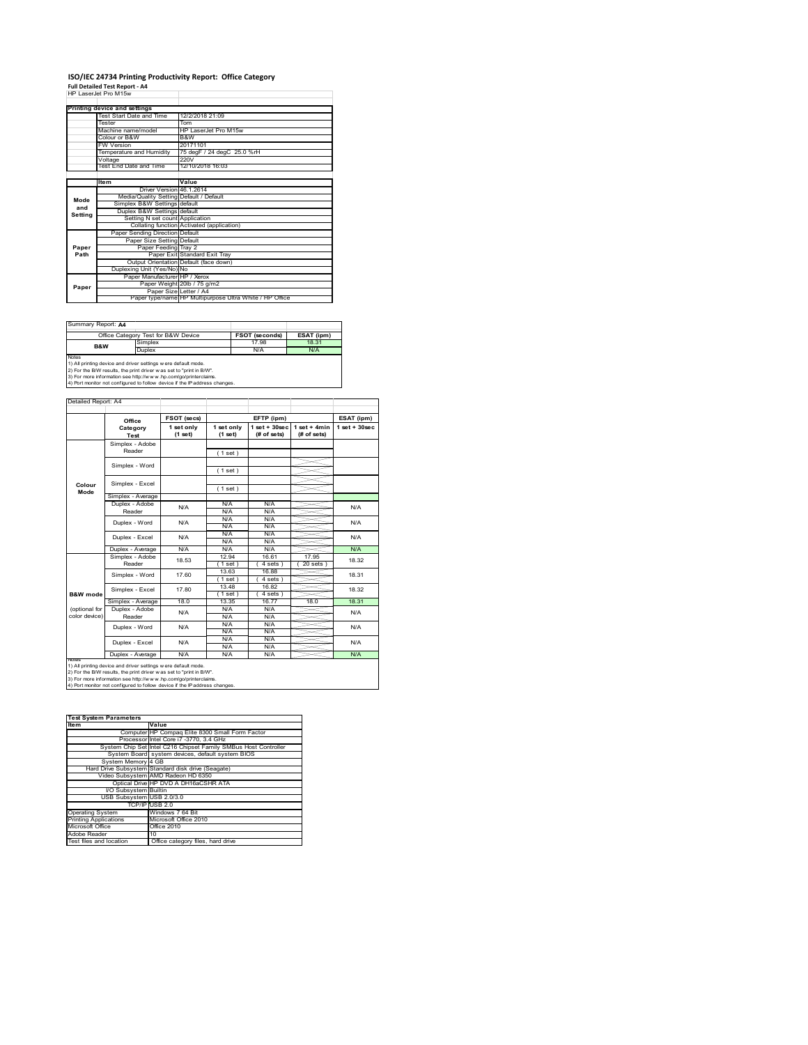#### **ISO/IEC 24734 Printing Productivity Report: Office Category Full Detailed Test Report ‐ A4** HP LaserJet Pro M15w

|         | HP Laser.let Pro M15w                   |                                                         |
|---------|-----------------------------------------|---------------------------------------------------------|
|         | Printing device and settings            |                                                         |
|         | Test Start Date and Time                | 12/2/2018 21:09                                         |
|         | Tester                                  | Tom                                                     |
|         | Machine name/model                      | HP LaserJet Pro M15w                                    |
|         | Colour or B&W                           | B&W                                                     |
|         | <b>FW Version</b>                       | 20171101                                                |
|         | Temperature and Humidity                | 75 degF / 24 degC 25.0 %rH                              |
|         | Voltage                                 | 220V                                                    |
|         | Test End Date and Time                  | 12/10/2018 16:03                                        |
|         |                                         |                                                         |
|         | ltem                                    | Value                                                   |
|         | Driver Version 46.1.2614                |                                                         |
| Mode    | Media/Quality Setting Default / Default |                                                         |
| and     | Simplex B&W Settings default            |                                                         |
| Setting | Duplex B&W Settings default             |                                                         |
|         | Setting N set count Application         |                                                         |
|         |                                         | Collating function Activated (application)              |
|         | Paper Sending Direction Default         |                                                         |
|         | Paper Size Setting Default              |                                                         |
| Paper   | Paper Feeding Tray 2                    |                                                         |
| Path    |                                         | Paper Exit Standard Exit Tray                           |
|         |                                         | Output Orientation Default (face down)                  |
|         | Duplexing Unit (Yes/No) No              |                                                         |
|         | Paper Manufacturer HP / Xerox           |                                                         |
| Paper   |                                         | Paper Weight 20lb / 75 g/m2                             |
|         | Paper Size Letter / A4                  |                                                         |
|         |                                         | Paper type/name HP Multipurpose Ultra White / HP Office |

Summary Report: **A4**

|                                                                | Office Category Test for B&W Device | <b>FSOT (seconds)</b> | ESAT (ipm) |  |  |  |
|----------------------------------------------------------------|-------------------------------------|-----------------------|------------|--|--|--|
| B&W                                                            | Simplex                             | 17.98                 | 18.31      |  |  |  |
|                                                                | Duplex                              | N/A                   | N/A        |  |  |  |
| <b>Notes</b>                                                   |                                     |                       |            |  |  |  |
| 1) All printing device and driver settings w ere default mode. |                                     |                       |            |  |  |  |
|                                                                |                                     |                       |            |  |  |  |

1) All printing device and driver settings were default mode.<br>2) For the B/W results, the print driver was set to "print in B/W".<br>3) For more information see http://www.hp.com/go/printerclaims.<br>4) Port monitor not configur

|                                | Office                    | FSOT (secs)           |                       | EFTP (ipm)                        |                               | ESAT (ipm)         |
|--------------------------------|---------------------------|-----------------------|-----------------------|-----------------------------------|-------------------------------|--------------------|
|                                | Category<br>Test          | 1 set only<br>(1 set) | 1 set only<br>(1 set) | $1$ set + $30$ sec<br>(# of sets) | $1$ set + 4min<br>(# of sets) | $1$ set + $30$ sec |
|                                | Simplex - Adobe<br>Reader |                       | (1 set)               |                                   |                               |                    |
|                                | Simplex - Word            |                       | (1 set)               |                                   |                               |                    |
| Colour<br>Mode                 | Simplex - Excel           |                       | (1 set)               |                                   |                               |                    |
|                                | Simplex - Average         |                       |                       |                                   |                               |                    |
|                                | Duplex - Adobe<br>Reader  | N/A                   | N/A<br>N/A            | N/A<br>N/A                        |                               | N/A                |
|                                | Duplex - Word             | N/A                   | N/A<br>N/A            | N/A<br>N/A                        |                               | N/A                |
|                                | Duplex - Excel            | N/A                   | N/A<br>N/A            | N/A<br>N/A                        |                               | N/A                |
|                                | Duplex - Average          | N/A                   | N/A                   | N/A                               |                               | N/A                |
|                                | Simplex - Adobe<br>Reader | 18.53                 | 12.94<br>$1$ set $)$  | 16.61<br>4 sets 1                 | 17.95<br>$20$ sets $)$        | 18.32              |
|                                | Simplex - Word            | 17.60                 | 13.63<br>$1$ set)     | 16.88<br>4 sets)                  |                               | 18.31              |
| <b>B&amp;W</b> mode            | Simplex - Excel           | 17.80                 | 13.48<br>$1$ set)     | 16.82<br>4 sets)                  |                               | 18.32              |
|                                | Simplex - Average         | 18.0                  | 13.35                 | 16.77                             | 18.0                          | 18.31              |
| (optional for<br>color device) | Duplex - Adobe<br>Reader  | N/A                   | N/A<br>N/A            | N/A<br>N/A                        |                               | N/A                |
|                                | Duplex - Word             | N/A                   | N/A<br>N/A            | N/A<br>N/A                        |                               | N/A                |
|                                | Duplex - Excel            | N/A                   | N/A<br>N/A            | N/A<br>N/A                        |                               | N/A                |
|                                | Duplex - Average          | N/A                   | N/A                   | N/A                               |                               | N/A                |

1) All printing device and driver settings were default mode.<br>2) For the B/W results, the print driver was set to "print in B/W".<br>3) For more information see http://www.hp.com/go/printerclaims.<br>4) Port monitor not configur

| <b>Test System Parameters</b> |                                                                 |  |  |  |  |
|-------------------------------|-----------------------------------------------------------------|--|--|--|--|
| <b>Item</b>                   | Value                                                           |  |  |  |  |
|                               | Computer HP Compag Elite 8300 Small Form Factor                 |  |  |  |  |
|                               | Processor Intel Core i7 -3770, 3.4 GHz                          |  |  |  |  |
|                               | System Chip Set Intel C216 Chipset Family SMBus Host Controller |  |  |  |  |
|                               | System Board system devices, default system BIOS                |  |  |  |  |
| System Memory 4 GB            |                                                                 |  |  |  |  |
|                               | Hard Drive Subsystem Standard disk drive (Seagate)              |  |  |  |  |
|                               | Video Subsystem AMD Radeon HD 6350                              |  |  |  |  |
|                               | Optical Drive HP DVD A DH16aCSHR ATA                            |  |  |  |  |
| I/O Subsystem Builtin         |                                                                 |  |  |  |  |
| USB Subsystem USB 2.0/3.0     |                                                                 |  |  |  |  |
|                               | TCP/IPIUSB 2.0                                                  |  |  |  |  |
| <b>Operating System</b>       | Windows 7 64 Bit                                                |  |  |  |  |
| <b>Printing Applications</b>  | Microsoft Office 2010                                           |  |  |  |  |
| Microsoft Office              | Office 2010                                                     |  |  |  |  |
| Adobe Reader                  | 10                                                              |  |  |  |  |
| Test files and location       | Office category files, hard drive                               |  |  |  |  |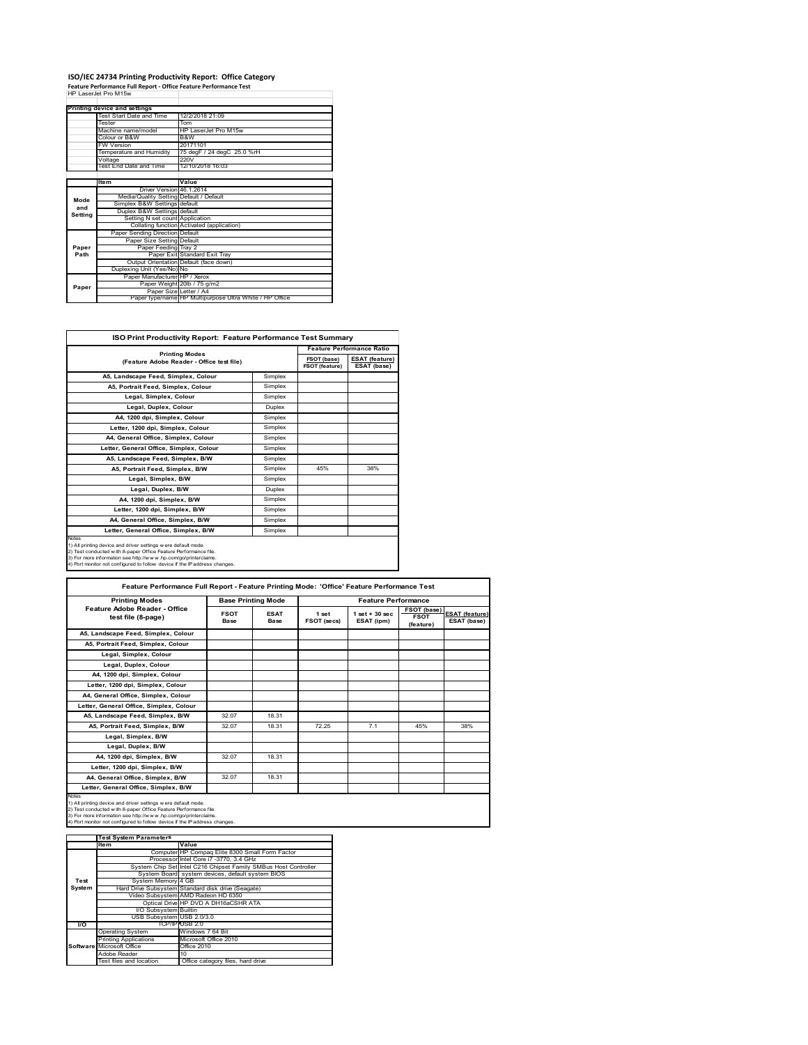## **ISO/IEC 24734 Printing Productivity Report: Office Category Feature Performance Full Report ‐ Office Feature Performance Test** HP LaserJet Pro M15w

|         | reature renormance run neport - onnee reature renormance rest |                                                         |
|---------|---------------------------------------------------------------|---------------------------------------------------------|
|         | HP Laser let Pro M15w                                         |                                                         |
|         |                                                               |                                                         |
|         | Printing device and settings                                  |                                                         |
|         | Test Start Date and Time                                      | 12/2/2018 21:09                                         |
|         | Tester                                                        | Tom                                                     |
|         | Machine name/model                                            | HP LaserJet Pro M15w                                    |
|         | Colour or B&W                                                 | B&W                                                     |
|         | <b>FW Version</b>                                             | 20171101                                                |
|         | Temperature and Humidity                                      | 75 degF / 24 degC 25.0 %rH                              |
|         | Voltage                                                       | 220V                                                    |
|         | Test End Date and Time                                        | 12/10/2018 16:03                                        |
|         |                                                               |                                                         |
|         | Item                                                          | Value                                                   |
|         | Driver Version 46.1.2614                                      |                                                         |
| Mode    | Media/Quality Setting Default / Default                       |                                                         |
| and     | Simplex B&W Settings default                                  |                                                         |
| Setting | Duplex B&W Settings default                                   |                                                         |
|         | Setting N set count Application                               |                                                         |
|         |                                                               | Collating function Activated (application)              |
|         | Paper Sending Direction Default                               |                                                         |
|         | Paper Size Setting Default                                    |                                                         |
| Paper   | Paper Feeding Tray 2                                          |                                                         |
| Path    |                                                               | Paper Exit Standard Exit Tray                           |
|         |                                                               | Output Orientation Default (face down)                  |
|         | Duplexing Unit (Yes/No) No                                    |                                                         |
|         | Paper Manufacturer HP / Xerox                                 |                                                         |
| Paper   |                                                               | Paper Weight 20lb / 75 g/m2                             |
|         | Paper Size Letter / A4                                        |                                                         |
|         |                                                               | Paper type/name HP Multipurpose Ultra White / HP Office |

| <b>ISO Print Productivity Report: Feature Performance Test Summary</b>                                                                                                                                                                                                                      |               |                                      |                                      |  |  |
|---------------------------------------------------------------------------------------------------------------------------------------------------------------------------------------------------------------------------------------------------------------------------------------------|---------------|--------------------------------------|--------------------------------------|--|--|
|                                                                                                                                                                                                                                                                                             |               | <b>Feature Performance Ratio</b>     |                                      |  |  |
| <b>Printing Modes</b><br>(Feature Adobe Reader - Office test file)                                                                                                                                                                                                                          |               | FSOT (base)<br><b>FSOT (feature)</b> | <b>ESAT (feature)</b><br>ESAT (base) |  |  |
| A5, Landscape Feed, Simplex, Colour                                                                                                                                                                                                                                                         | Simplex       |                                      |                                      |  |  |
| A5. Portrait Feed. Simplex. Colour                                                                                                                                                                                                                                                          | Simplex       |                                      |                                      |  |  |
| Legal, Simplex, Colour                                                                                                                                                                                                                                                                      | Simplex       |                                      |                                      |  |  |
| Legal, Duplex, Colour                                                                                                                                                                                                                                                                       | <b>Duplex</b> |                                      |                                      |  |  |
| A4, 1200 dpi, Simplex, Colour                                                                                                                                                                                                                                                               | Simplex       |                                      |                                      |  |  |
| Letter, 1200 dpi. Simplex, Colour                                                                                                                                                                                                                                                           | Simplex       |                                      |                                      |  |  |
| A4. General Office. Simplex. Colour                                                                                                                                                                                                                                                         | Simplex       |                                      |                                      |  |  |
| Letter, General Office, Simplex, Colour                                                                                                                                                                                                                                                     | Simplex       |                                      |                                      |  |  |
| A5, Landscape Feed, Simplex, B/W                                                                                                                                                                                                                                                            | Simplex       |                                      |                                      |  |  |
| A5, Portrait Feed, Simplex, B/W                                                                                                                                                                                                                                                             | Simplex       | 45%                                  | 38%                                  |  |  |
| Legal, Simplex, B/W                                                                                                                                                                                                                                                                         | Simplex       |                                      |                                      |  |  |
| Legal, Duplex, B/W                                                                                                                                                                                                                                                                          | <b>Duplex</b> |                                      |                                      |  |  |
| A4, 1200 dpi, Simplex, B/W                                                                                                                                                                                                                                                                  | Simplex       |                                      |                                      |  |  |
| Letter, 1200 dpi, Simplex, B/W                                                                                                                                                                                                                                                              | Simplex       |                                      |                                      |  |  |
| A4, General Office, Simplex, B/W                                                                                                                                                                                                                                                            | Simplex       |                                      |                                      |  |  |
| Letter, General Office, Simplex, B/W                                                                                                                                                                                                                                                        | Simplex       |                                      |                                      |  |  |
| Notes<br>1) All printing device and driver settings w ere default mode.<br>2) Test conducted with 8-paper Office Feature Performance file.<br>3) For more information see http://www.hp.com/go/printerclaims.<br>4) Port monitor not configured to follow device if the IP address changes. |               |                                      |                                      |  |  |

| <b>Printing Modes</b>                               | <b>Base Printing Mode</b> |                     |                      | <b>Feature Performance</b>       |                                         |                                      |
|-----------------------------------------------------|---------------------------|---------------------|----------------------|----------------------------------|-----------------------------------------|--------------------------------------|
| Feature Adobe Reader - Office<br>test file (8-page) | <b>FSOT</b><br>Base       | <b>ESAT</b><br>Base | 1 set<br>FSOT (secs) | $1$ set $+30$ sec.<br>ESAT (ipm) | FSOT (base)<br><b>FSOT</b><br>(feature) | <b>ESAT (feature)</b><br>ESAT (base) |
| A5, Landscape Feed, Simplex, Colour                 |                           |                     |                      |                                  |                                         |                                      |
| A5, Portrait Feed, Simplex, Colour                  |                           |                     |                      |                                  |                                         |                                      |
| Legal, Simplex, Colour                              |                           |                     |                      |                                  |                                         |                                      |
| Legal, Duplex, Colour                               |                           |                     |                      |                                  |                                         |                                      |
| A4, 1200 dpi, Simplex, Colour                       |                           |                     |                      |                                  |                                         |                                      |
| Letter, 1200 dpi, Simplex, Colour                   |                           |                     |                      |                                  |                                         |                                      |
| A4, General Office, Simplex, Colour                 |                           |                     |                      |                                  |                                         |                                      |
| Letter, General Office, Simplex, Colour             |                           |                     |                      |                                  |                                         |                                      |
| A5, Landscape Feed, Simplex, B/W                    | 32.07                     | 18.31               |                      |                                  |                                         |                                      |
| A5. Portrait Feed. Simplex. B/W                     | 32.07                     | 18.31               | 72.25                | 7.1                              | 45%                                     | 38%                                  |
| Legal, Simplex, B/W                                 |                           |                     |                      |                                  |                                         |                                      |
| Legal, Duplex, B/W                                  |                           |                     |                      |                                  |                                         |                                      |
| A4. 1200 dpi. Simplex. B/W                          | 32.07                     | 18.31               |                      |                                  |                                         |                                      |
| Letter, 1200 dpi, Simplex, B/W                      |                           |                     |                      |                                  |                                         |                                      |
| A4, General Office, Simplex, B/W                    | 32.07                     | 18.31               |                      |                                  |                                         |                                      |
| Letter, General Office, Simplex, B/W                |                           |                     |                      |                                  |                                         |                                      |

|           | <b>Test System Parameters</b> |                                                                 |
|-----------|-------------------------------|-----------------------------------------------------------------|
|           | lte m                         | Value                                                           |
|           |                               | Computer HP Compaq Elite 8300 Small Form Factor                 |
|           |                               | Processor Intel Core i7 -3770, 3.4 GHz                          |
|           |                               | System Chip Set Intel C216 Chipset Family SMBus Host Controller |
|           |                               | System Board system devices, default system BIOS                |
| Test      | System Memory 4 GB            |                                                                 |
| System    |                               | Hard Drive Subsystem Standard disk drive (Seagate)              |
|           |                               | Video Subsystem AMD Radeon HD 6350                              |
|           |                               | Optical Drive HP DVD A DH16aCSHR ATA                            |
|           | I/O Subsystem Builtin         |                                                                 |
|           | USB Subsystem USB 2.0/3.0     |                                                                 |
| <b>VO</b> |                               | TCP/IPIUSB 2.0                                                  |
|           | <b>Operating System</b>       | Windows 7 64 Bit                                                |
|           | <b>Printing Applications</b>  | Microsoft Office 2010                                           |
|           | Software Microsoft Office     | Office 2010                                                     |
|           | Adobe Reader                  | 10                                                              |
|           | Test files and location       | Office category files, hard drive                               |
|           |                               |                                                                 |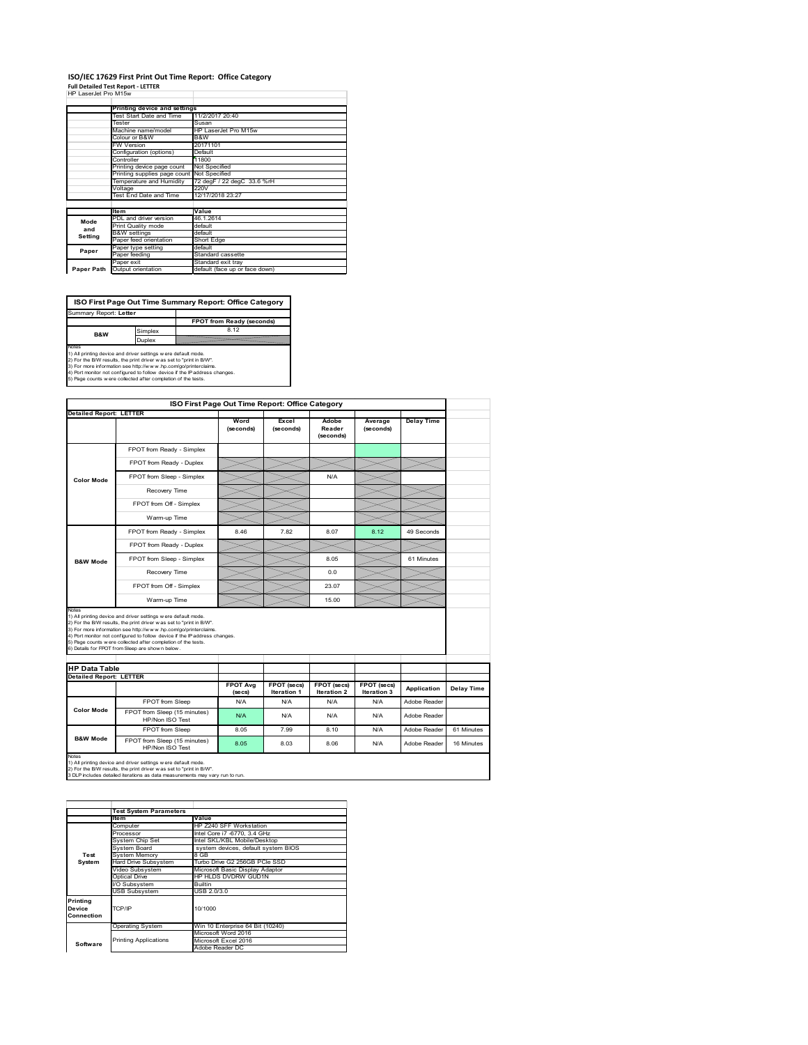## **ISO/IEC 17629 First Print Out Time Report: Office Category**

| <b>Full Detailed Test Report - LETTER</b> |  |
|-------------------------------------------|--|
| HP LaserJet Pro M15w                      |  |

|            | Printing device and settings               |                                |  |  |  |  |
|------------|--------------------------------------------|--------------------------------|--|--|--|--|
|            | Test Start Date and Time                   | 11/2/2017 20:40                |  |  |  |  |
|            | Tester                                     | Susan                          |  |  |  |  |
|            | Machine name/model                         | HP LaserJet Pro M15w           |  |  |  |  |
|            | Colour or B&W                              | B&W                            |  |  |  |  |
|            | <b>FW Version</b>                          | 20171101                       |  |  |  |  |
|            | Configuration (options)                    | Default                        |  |  |  |  |
|            | Controller                                 | 11800                          |  |  |  |  |
|            | Printing device page count                 | Not Specified                  |  |  |  |  |
|            | Printing supplies page count Not Specified |                                |  |  |  |  |
|            | Temperature and Humidity                   | 72 degF / 22 degC 33.6 %rH     |  |  |  |  |
|            | Voltage                                    | 220V                           |  |  |  |  |
|            | Test End Date and Time                     | 12/17/2018 23:27               |  |  |  |  |
|            |                                            |                                |  |  |  |  |
|            | <b>Item</b>                                | Value                          |  |  |  |  |
| Mode       | PDL and driver version                     | 46.1.2614                      |  |  |  |  |
|            | Print Quality mode                         | default                        |  |  |  |  |
| and        | <b>B&amp;W</b> settings                    | default                        |  |  |  |  |
| Setting    | Paper feed orientation                     | Short Edge                     |  |  |  |  |
| Paper      | Paper type setting                         | default                        |  |  |  |  |
|            | Paper feeding                              | Standard cassette              |  |  |  |  |
|            | Paper exit                                 | Standard exit tray             |  |  |  |  |
| Paper Path | Output orientation                         | default (face up or face down) |  |  |  |  |
|            |                                            |                                |  |  |  |  |

**ISO First Page Out Time Summary Report: Office Category** Summary Report: **Letter**

**FPOT from Ready (seconds)**<br>Simplex 8.12 **Duplex**<br>Notes<br>1) All printing device and driver settings were default mode.<br>2) For the BM results, the print driver was set to "print in BM".<br>4) For more information see http://www.hp.com/golprinterclaims.<br>4) Port monitor **B&W**

|                                                                 |                                                                                                                                                                                                                                                                                                                                                                                                             | ISO First Page Out Time Report: Office Category |                            |                              |                      |                   |            |
|-----------------------------------------------------------------|-------------------------------------------------------------------------------------------------------------------------------------------------------------------------------------------------------------------------------------------------------------------------------------------------------------------------------------------------------------------------------------------------------------|-------------------------------------------------|----------------------------|------------------------------|----------------------|-------------------|------------|
| <b>Detailed Report: LETTER</b>                                  |                                                                                                                                                                                                                                                                                                                                                                                                             |                                                 |                            |                              |                      |                   |            |
|                                                                 |                                                                                                                                                                                                                                                                                                                                                                                                             | Word<br>(seconds)                               | Excel<br>(seconds)         | Adobe<br>Reader<br>(seconds) | Average<br>(seconds) | <b>Delay Time</b> |            |
|                                                                 | FPOT from Ready - Simplex                                                                                                                                                                                                                                                                                                                                                                                   |                                                 |                            |                              |                      |                   |            |
|                                                                 | FPOT from Ready - Duplex                                                                                                                                                                                                                                                                                                                                                                                    |                                                 |                            |                              |                      |                   |            |
| <b>Color Mode</b>                                               | FPOT from Sleep - Simplex                                                                                                                                                                                                                                                                                                                                                                                   |                                                 |                            | N/A                          |                      |                   |            |
|                                                                 | Recovery Time                                                                                                                                                                                                                                                                                                                                                                                               |                                                 |                            |                              |                      |                   |            |
|                                                                 | FPOT from Off - Simplex                                                                                                                                                                                                                                                                                                                                                                                     |                                                 |                            |                              |                      |                   |            |
|                                                                 | Warm-up Time                                                                                                                                                                                                                                                                                                                                                                                                |                                                 |                            |                              |                      |                   |            |
|                                                                 | FPOT from Ready - Simplex                                                                                                                                                                                                                                                                                                                                                                                   | 8.46                                            | 7.82                       | 8.07                         | 8.12                 | 49 Seconds        |            |
|                                                                 | FPOT from Ready - Duplex                                                                                                                                                                                                                                                                                                                                                                                    |                                                 |                            |                              |                      |                   |            |
| <b>B&amp;W Mode</b>                                             | FPOT from Sleep - Simplex                                                                                                                                                                                                                                                                                                                                                                                   |                                                 |                            | 8.05                         |                      | 61 Minutes        |            |
|                                                                 |                                                                                                                                                                                                                                                                                                                                                                                                             |                                                 |                            |                              |                      |                   |            |
|                                                                 | Recovery Time                                                                                                                                                                                                                                                                                                                                                                                               |                                                 |                            | 0.0                          |                      |                   |            |
|                                                                 | FPOT from Off - Simplex                                                                                                                                                                                                                                                                                                                                                                                     |                                                 |                            | 23.07                        |                      |                   |            |
|                                                                 | Warm-up Time                                                                                                                                                                                                                                                                                                                                                                                                |                                                 |                            | 15.00                        |                      |                   |            |
| Notes<br><b>HP Data Table</b><br><b>Detailed Report: LETTER</b> | 1) All printing device and driver settings w ere default mode.<br>2) For the B/W results, the print driver was set to "print in B/W".<br>3) For more information see http://www.hp.com/go/printerclaims.<br>4) Port monitor not configured to follow device if the IP address changes.<br>5) Page counts w ere collected after completion of the tests.<br>6) Details for FPOT from Sleep are show n below. | <b>FPOT Avg</b>                                 |                            | FPOT (secs)                  | FPOT (secs)          |                   |            |
|                                                                 |                                                                                                                                                                                                                                                                                                                                                                                                             | (se cs)                                         | FPOT (secs)<br>Iteration 1 | Iteration 2                  | Iteration 3          | Application       | Delay Time |
|                                                                 | FPOT from Sleep                                                                                                                                                                                                                                                                                                                                                                                             | N/A                                             | N/A                        | N/A                          | N/A                  | Adobe Reader      |            |
| <b>Color Mode</b>                                               | FPOT from Sleep (15 minutes)<br>HP/Non ISO Test                                                                                                                                                                                                                                                                                                                                                             | N/A                                             | N/A                        | N/A                          | N/A                  | Adobe Reader      |            |
| <b>B&amp;W Mode</b>                                             | FPOT from Sleep                                                                                                                                                                                                                                                                                                                                                                                             | 8.05                                            | 7.99                       | 8.10                         | N/A                  | Adobe Reader      | 61 Minutes |

|                                            | <b>Test System Parameters</b> |                                     |  |  |  |  |
|--------------------------------------------|-------------------------------|-------------------------------------|--|--|--|--|
|                                            | Value<br>Item                 |                                     |  |  |  |  |
|                                            | Computer                      | HP Z240 SFF Workstation             |  |  |  |  |
|                                            | Processor                     | Intel Core i7 -6770, 3.4 GHz        |  |  |  |  |
|                                            | System Chip Set               | Intel SKL/KBL Mobile/Desktop        |  |  |  |  |
|                                            | System Board                  | system devices, default system BIOS |  |  |  |  |
| Test                                       | <b>System Memory</b>          | 8 GB                                |  |  |  |  |
| System                                     | <b>Hard Drive Subsystem</b>   | Turbo Drive G2 256GB PCle SSD       |  |  |  |  |
|                                            | Video Subsystem               | Microsoft Basic Display Adaptor     |  |  |  |  |
|                                            | Optical Drive                 | HP HLDS DVDRW GUD1N                 |  |  |  |  |
|                                            | I/O Subsystem                 | Builtin                             |  |  |  |  |
|                                            | <b>USB Subsystem</b>          | USB 2.0/3.0                         |  |  |  |  |
| Printing<br>TCP/IP<br>Device<br>Connection |                               | 10/1000                             |  |  |  |  |
|                                            | <b>Operating System</b>       | Win 10 Enterprise 64 Bit (10240)    |  |  |  |  |
|                                            |                               | Microsoft Word 2016                 |  |  |  |  |
| Software                                   | <b>Printing Applications</b>  | Microsoft Excel 2016                |  |  |  |  |
|                                            |                               | Adobe Reader DC                     |  |  |  |  |